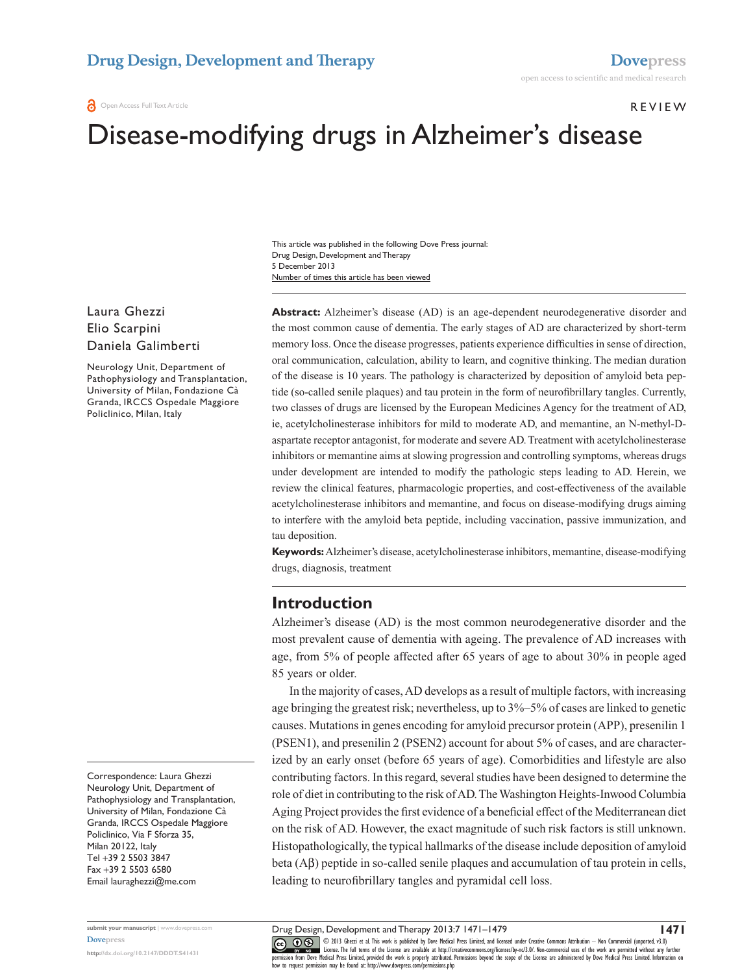#### Open Access Full Text Article

Review

# Disease-modifying drugs in Alzheimer's disease

Number of times this article has been viewed This article was published in the following Dove Press journal: Drug Design, Development and Therapy 5 December 2013

Laura Ghezzi Elio Scarpini Daniela Galimberti

Neurology Unit, Department of Pathophysiology and Transplantation, University of Milan, Fondazione Cà Granda, IRCCS Ospedale Maggiore Policlinico, Milan, Italy

Correspondence: Laura Ghezzi Neurology Unit, Department of Pathophysiology and Transplantation, University of Milan, Fondazione Cà Granda, IRCCS Ospedale Maggiore Policlinico, Via F Sforza 35, Milan 20122, Italy Tel +39 2 5503 3847 Fax +39 2 5503 6580 Email [lauraghezzi@me.com](mailto:lauraghezzi@me.com)

**submit your manuscript** | <www.dovepress.com> **[Dovepress](www.dovepress.com)**

**<http://dx.doi.org/10.2147/DDDT.S41431>**

**Abstract:** Alzheimer's disease (AD) is an age-dependent neurodegenerative disorder and the most common cause of dementia. The early stages of AD are characterized by short-term memory loss. Once the disease progresses, patients experience difficulties in sense of direction, oral communication, calculation, ability to learn, and cognitive thinking. The median duration of the disease is 10 years. The pathology is characterized by deposition of amyloid beta peptide (so-called senile plaques) and tau protein in the form of neurofibrillary tangles. Currently, two classes of drugs are licensed by the European Medicines Agency for the treatment of AD, ie, acetylcholinesterase inhibitors for mild to moderate AD, and memantine, an N-methyl-Daspartate receptor antagonist, for moderate and severe AD. Treatment with acetylcholinesterase inhibitors or memantine aims at slowing progression and controlling symptoms, whereas drugs under development are intended to modify the pathologic steps leading to AD. Herein, we review the clinical features, pharmacologic properties, and cost-effectiveness of the available acetylcholinesterase inhibitors and memantine, and focus on disease-modifying drugs aiming to interfere with the amyloid beta peptide, including vaccination, passive immunization, and tau deposition.

**Keywords:** Alzheimer's disease, acetylcholinesterase inhibitors, memantine, disease-modifying drugs, diagnosis, treatment

#### **Introduction**

Alzheimer's disease (AD) is the most common neurodegenerative disorder and the most prevalent cause of dementia with ageing. The prevalence of AD increases with age, from 5% of people affected after 65 years of age to about 30% in people aged 85 years or older.

In the majority of cases, AD develops as a result of multiple factors, with increasing age bringing the greatest risk; nevertheless, up to 3%–5% of cases are linked to genetic causes. Mutations in genes encoding for amyloid precursor protein (APP), presenilin 1 (PSEN1), and presenilin 2 (PSEN2) account for about 5% of cases, and are characterized by an early onset (before 65 years of age). Comorbidities and lifestyle are also contributing factors. In this regard, several studies have been designed to determine the role of diet in contributing to the risk of AD. The Washington Heights-Inwood Columbia Aging Project provides the first evidence of a beneficial effect of the Mediterranean diet on the risk of AD. However, the exact magnitude of such risk factors is still unknown. Histopathologically, the typical hallmarks of the disease include deposition of amyloid beta  $(A\beta)$  peptide in so-called senile plaques and accumulation of tau protein in cells, leading to neurofibrillary tangles and pyramidal cell loss.

Drug Design, Development and Therapy 2013:7 1471–1479

CO ODI3 Ghezzi et al. This work is published by Dove Medical Press Limited, and licensed under Creative Commons Attribution — Non Commercial (unported, v3.0)<br> [permission from Dove M](http://www.dovepress.com/permissions.php)edical Press Limited, provided the work i how to request permission may be found at: http://www.dovepress.com/permissions.php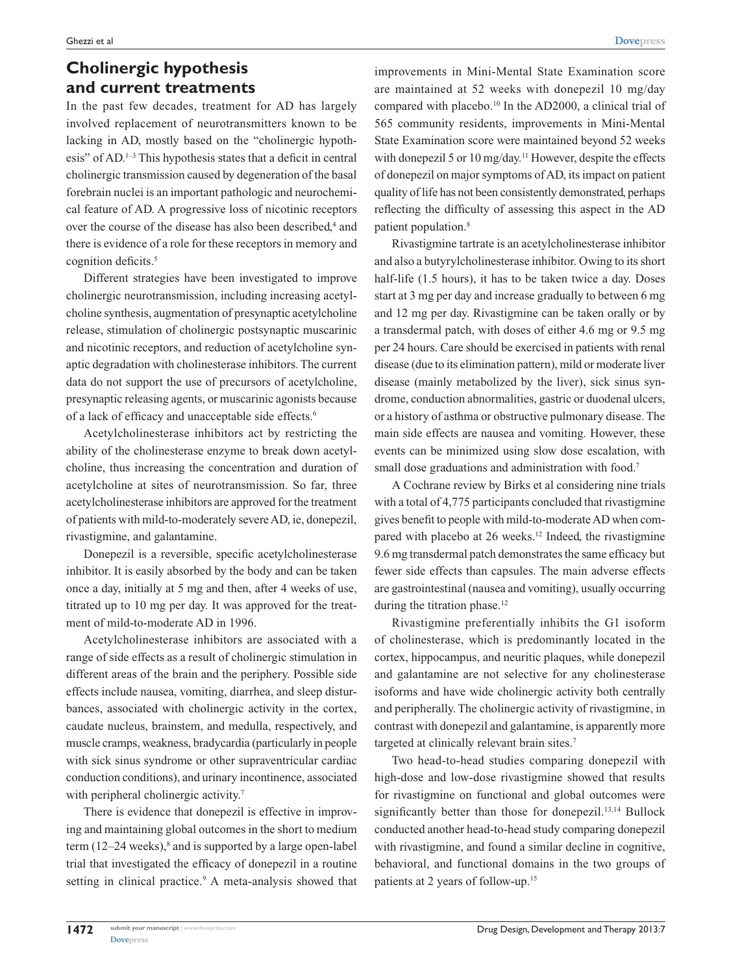## **Cholinergic hypothesis and current treatments**

In the past few decades, treatment for AD has largely involved replacement of neurotransmitters known to be lacking in AD, mostly based on the "cholinergic hypothesis" of AD.1–3 This hypothesis states that a deficit in central cholinergic transmission caused by degeneration of the basal forebrain nuclei is an important pathologic and neurochemical feature of AD. A progressive loss of nicotinic receptors over the course of the disease has also been described,<sup>4</sup> and there is evidence of a role for these receptors in memory and cognition deficits.<sup>5</sup>

Different strategies have been investigated to improve cholinergic neurotransmission, including increasing acetylcholine synthesis, augmentation of presynaptic acetylcholine release, stimulation of cholinergic postsynaptic muscarinic and nicotinic receptors, and reduction of acetylcholine synaptic degradation with cholinesterase inhibitors. The current data do not support the use of precursors of acetylcholine, presynaptic releasing agents, or muscarinic agonists because of a lack of efficacy and unacceptable side effects.<sup>6</sup>

Acetylcholinesterase inhibitors act by restricting the ability of the cholinesterase enzyme to break down acetylcholine, thus increasing the concentration and duration of acetylcholine at sites of neurotransmission. So far, three acetylcholinesterase inhibitors are approved for the treatment of patients with mild-to-moderately severe AD, ie, donepezil, rivastigmine, and galantamine.

Donepezil is a reversible, specific acetylcholinesterase inhibitor. It is easily absorbed by the body and can be taken once a day, initially at 5 mg and then, after 4 weeks of use, titrated up to 10 mg per day. It was approved for the treatment of mild-to-moderate AD in 1996.

Acetylcholinesterase inhibitors are associated with a range of side effects as a result of cholinergic stimulation in different areas of the brain and the periphery. Possible side effects include nausea, vomiting, diarrhea, and sleep disturbances, associated with cholinergic activity in the cortex, caudate nucleus, brainstem, and medulla, respectively, and muscle cramps, weakness, bradycardia (particularly in people with sick sinus syndrome or other supraventricular cardiac conduction conditions), and urinary incontinence, associated with peripheral cholinergic activity.<sup>7</sup>

There is evidence that donepezil is effective in improving and maintaining global outcomes in the short to medium term  $(12-24$  weeks), $^{8}$  and is supported by a large open-label trial that investigated the efficacy of donepezil in a routine setting in clinical practice.<sup>9</sup> A meta-analysis showed that improvements in Mini-Mental State Examination score are maintained at 52 weeks with donepezil 10 mg/day compared with placebo.<sup>10</sup> In the AD2000, a clinical trial of 565 community residents, improvements in Mini-Mental State Examination score were maintained beyond 52 weeks with donepezil 5 or 10 mg/day.<sup>11</sup> However, despite the effects of donepezil on major symptoms of AD, its impact on patient quality of life has not been consistently demonstrated, perhaps reflecting the difficulty of assessing this aspect in the AD patient population.8

Rivastigmine tartrate is an acetylcholinesterase inhibitor and also a butyrylcholinesterase inhibitor. Owing to its short half-life (1.5 hours), it has to be taken twice a day. Doses start at 3 mg per day and increase gradually to between 6 mg and 12 mg per day. Rivastigmine can be taken orally or by a transdermal patch, with doses of either 4.6 mg or 9.5 mg per 24 hours. Care should be exercised in patients with renal disease (due to its elimination pattern), mild or moderate liver disease (mainly metabolized by the liver), sick sinus syndrome, conduction abnormalities, gastric or duodenal ulcers, or a history of asthma or obstructive pulmonary disease. The main side effects are nausea and vomiting. However, these events can be minimized using slow dose escalation, with small dose graduations and administration with food.<sup>7</sup>

A Cochrane review by Birks et al considering nine trials with a total of 4,775 participants concluded that rivastigmine gives benefit to people with mild-to-moderate AD when compared with placebo at 26 weeks.<sup>12</sup> Indeed, the rivastigmine 9.6 mg transdermal patch demonstrates the same efficacy but fewer side effects than capsules. The main adverse effects are gastrointestinal (nausea and vomiting), usually occurring during the titration phase.<sup>12</sup>

Rivastigmine preferentially inhibits the G1 isoform of cholinesterase, which is predominantly located in the cortex, hippocampus, and neuritic plaques, while donepezil and galantamine are not selective for any cholinesterase isoforms and have wide cholinergic activity both centrally and peripherally. The cholinergic activity of rivastigmine, in contrast with donepezil and galantamine, is apparently more targeted at clinically relevant brain sites.<sup>7</sup>

Two head-to-head studies comparing donepezil with high-dose and low-dose rivastigmine showed that results for rivastigmine on functional and global outcomes were significantly better than those for donepezil.<sup>13,14</sup> Bullock conducted another head-to-head study comparing donepezil with rivastigmine, and found a similar decline in cognitive, behavioral, and functional domains in the two groups of patients at 2 years of follow-up.15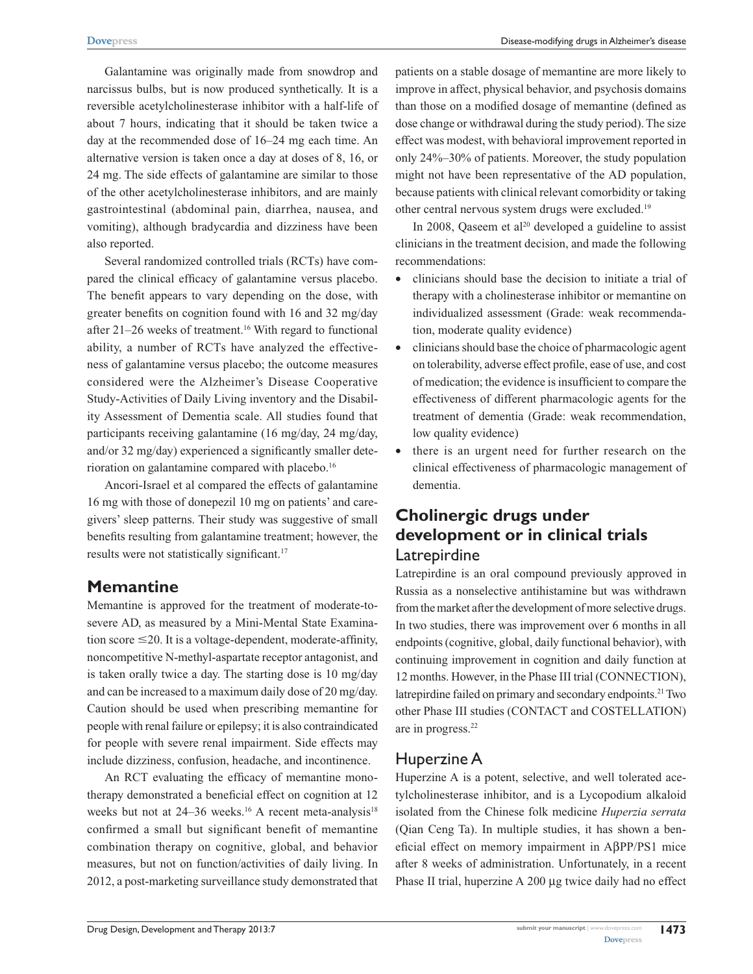Galantamine was originally made from snowdrop and narcissus bulbs, but is now produced synthetically. It is a reversible acetylcholinesterase inhibitor with a half-life of about 7 hours, indicating that it should be taken twice a day at the recommended dose of 16–24 mg each time. An alternative version is taken once a day at doses of 8, 16, or 24 mg. The side effects of galantamine are similar to those of the other acetylcholinesterase inhibitors, and are mainly gastrointestinal (abdominal pain, diarrhea, nausea, and vomiting), although bradycardia and dizziness have been also reported.

Several randomized controlled trials (RCTs) have compared the clinical efficacy of galantamine versus placebo. The benefit appears to vary depending on the dose, with greater benefits on cognition found with 16 and 32 mg/day after 21–26 weeks of treatment.16 With regard to functional ability, a number of RCTs have analyzed the effectiveness of galantamine versus placebo; the outcome measures considered were the Alzheimer's Disease Cooperative Study-Activities of Daily Living inventory and the Disability Assessment of Dementia scale. All studies found that participants receiving galantamine (16 mg/day, 24 mg/day, and/or 32 mg/day) experienced a significantly smaller deterioration on galantamine compared with placebo.16

Ancori-Israel et al compared the effects of galantamine 16 mg with those of donepezil 10 mg on patients' and caregivers' sleep patterns. Their study was suggestive of small benefits resulting from galantamine treatment; however, the results were not statistically significant.<sup>17</sup>

### **Memantine**

Memantine is approved for the treatment of moderate-tosevere AD, as measured by a Mini-Mental State Examination score  $\leq$ 20. It is a voltage-dependent, moderate-affinity, noncompetitive N-methyl-aspartate receptor antagonist, and is taken orally twice a day. The starting dose is 10 mg/day and can be increased to a maximum daily dose of 20 mg/day. Caution should be used when prescribing memantine for people with renal failure or epilepsy; it is also contraindicated for people with severe renal impairment. Side effects may include dizziness, confusion, headache, and incontinence.

An RCT evaluating the efficacy of memantine monotherapy demonstrated a beneficial effect on cognition at 12 weeks but not at 24–36 weeks.<sup>16</sup> A recent meta-analysis<sup>18</sup> confirmed a small but significant benefit of memantine combination therapy on cognitive, global, and behavior measures, but not on function/activities of daily living. In 2012, a post-marketing surveillance study demonstrated that

patients on a stable dosage of memantine are more likely to improve in affect, physical behavior, and psychosis domains than those on a modified dosage of memantine (defined as dose change or withdrawal during the study period). The size effect was modest, with behavioral improvement reported in only 24%–30% of patients. Moreover, the study population might not have been representative of the AD population, because patients with clinical relevant comorbidity or taking other central nervous system drugs were excluded.19

In 2008, Oaseem et al<sup>20</sup> developed a guideline to assist clinicians in the treatment decision, and made the following recommendations:

- clinicians should base the decision to initiate a trial of therapy with a cholinesterase inhibitor or memantine on individualized assessment (Grade: weak recommendation, moderate quality evidence)
- clinicians should base the choice of pharmacologic agent on tolerability, adverse effect profile, ease of use, and cost of medication; the evidence is insufficient to compare the effectiveness of different pharmacologic agents for the treatment of dementia (Grade: weak recommendation, low quality evidence)
- there is an urgent need for further research on the clinical effectiveness of pharmacologic management of dementia.

### **Cholinergic drugs under development or in clinical trials** Latrepirdine

Latrepirdine is an oral compound previously approved in Russia as a nonselective antihistamine but was withdrawn from the market after the development of more selective drugs. In two studies, there was improvement over 6 months in all endpoints (cognitive, global, daily functional behavior), with continuing improvement in cognition and daily function at 12 months. However, in the Phase III trial (CONNECTION), latrepirdine failed on primary and secondary endpoints.21 Two other Phase III studies (CONTACT and COSTELLATION) are in progress.22

### Huperzine A

Huperzine A is a potent, selective, and well tolerated acetylcholinesterase inhibitor, and is a Lycopodium alkaloid isolated from the Chinese folk medicine *Huperzia serrata* (Qian Ceng Ta). In multiple studies, it has shown a beneficial effect on memory impairment in AβPP/PS1 mice after 8 weeks of administration. Unfortunately, in a recent Phase II trial, huperzine A 200 µg twice daily had no effect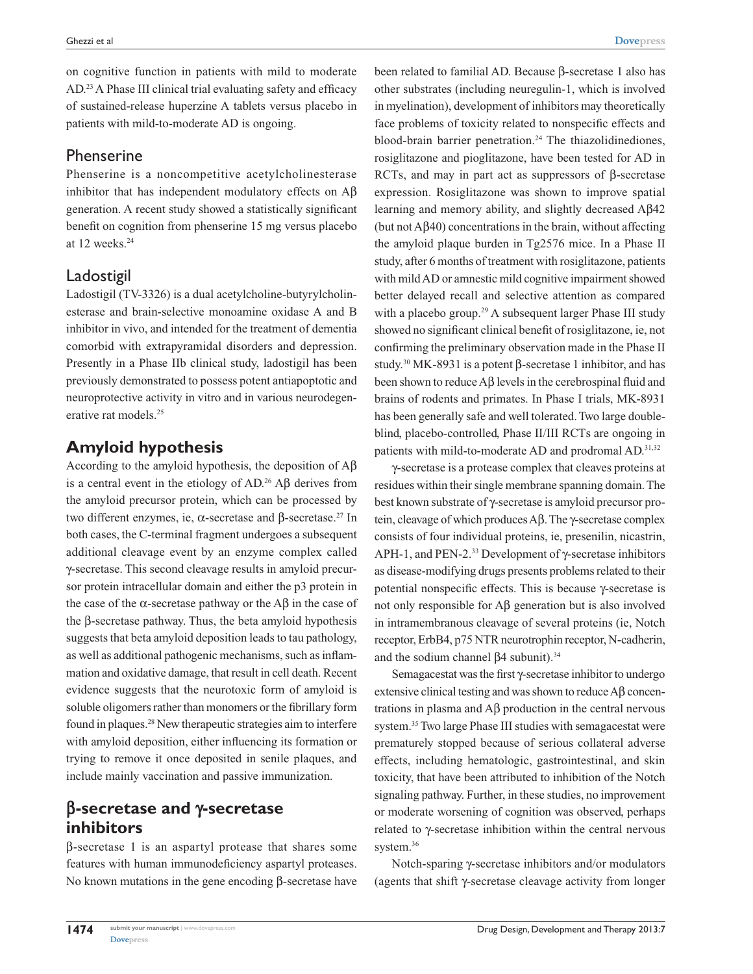on cognitive function in patients with mild to moderate AD.23 A Phase III clinical trial evaluating safety and efficacy of sustained-release huperzine A tablets versus placebo in patients with mild-to-moderate AD is ongoing.

### Phenserine

Phenserine is a noncompetitive acetylcholinesterase inhibitor that has independent modulatory effects on  $\mathbb{A}\beta$ generation. A recent study showed a statistically significant benefit on cognition from phenserine 15 mg versus placebo at 12 weeks.<sup>24</sup>

### Ladostigil

Ladostigil (TV-3326) is a dual acetylcholine-butyrylcholinesterase and brain-selective monoamine oxidase A and B inhibitor in vivo, and intended for the treatment of dementia comorbid with extrapyramidal disorders and depression. Presently in a Phase IIb clinical study, ladostigil has been previously demonstrated to possess potent antiapoptotic and neuroprotective activity in vitro and in various neurodegenerative rat models.25

# **Amyloid hypothesis**

According to the amyloid hypothesis, the deposition of Aβ is a central event in the etiology of  $AD<sup>26</sup>$  A $\beta$  derives from the amyloid precursor protein, which can be processed by two different enzymes, ie,  $\alpha$ -secretase and β-secretase.<sup>27</sup> In both cases, the C-terminal fragment undergoes a subsequent additional cleavage event by an enzyme complex called γ-secretase. This second cleavage results in amyloid precursor protein intracellular domain and either the p3 protein in the case of the  $\alpha$ -secretase pathway or the A $\beta$  in the case of the β-secretase pathway. Thus, the beta amyloid hypothesis suggests that beta amyloid deposition leads to tau pathology, as well as additional pathogenic mechanisms, such as inflammation and oxidative damage, that result in cell death. Recent evidence suggests that the neurotoxic form of amyloid is soluble oligomers rather than monomers or the fibrillary form found in plaques.28 New therapeutic strategies aim to interfere with amyloid deposition, either influencing its formation or trying to remove it once deposited in senile plaques, and include mainly vaccination and passive immunization.

# **β-secretase and γ-secretase inhibitors**

β-secretase 1 is an aspartyl protease that shares some features with human immunodeficiency aspartyl proteases. No known mutations in the gene encoding β-secretase have been related to familial AD. Because β-secretase 1 also has other substrates (including neuregulin-1, which is involved in myelination), development of inhibitors may theoretically face problems of toxicity related to nonspecific effects and blood-brain barrier penetration.<sup>24</sup> The thiazolidinediones, rosiglitazone and pioglitazone, have been tested for AD in RCTs, and may in part act as suppressors of β-secretase expression. Rosiglitazone was shown to improve spatial learning and memory ability, and slightly decreased Aβ42 (but not Aβ40) concentrations in the brain, without affecting the amyloid plaque burden in Tg2576 mice. In a Phase II study, after 6 months of treatment with rosiglitazone, patients with mild AD or amnestic mild cognitive impairment showed better delayed recall and selective attention as compared with a placebo group.<sup>29</sup> A subsequent larger Phase III study showed no significant clinical benefit of rosiglitazone, ie, not confirming the preliminary observation made in the Phase II study.<sup>30</sup> MK-8931 is a potent  $\beta$ -secretase 1 inhibitor, and has been shown to reduce Aβ levels in the cerebrospinal fluid and brains of rodents and primates. In Phase I trials, MK-8931 has been generally safe and well tolerated. Two large doubleblind, placebo-controlled, Phase II/III RCTs are ongoing in patients with mild-to-moderate AD and prodromal AD.<sup>31,32</sup>

γ-secretase is a protease complex that cleaves proteins at residues within their single membrane spanning domain. The best known substrate of γ-secretase is amyloid precursor protein, cleavage of which produces Aβ. The γ-secretase complex consists of four individual proteins, ie, presenilin, nicastrin, APH-1, and PEN-2.33 Development of γ-secretase inhibitors as disease-modifying drugs presents problems related to their potential nonspecific effects. This is because γ-secretase is not only responsible for Aβ generation but is also involved in intramembranous cleavage of several proteins (ie, Notch receptor, ErbB4, p75 NTR neurotrophin receptor, N-cadherin, and the sodium channel β4 subunit).<sup>34</sup>

Semagacestat was the first γ-secretase inhibitor to undergo extensive clinical testing and was shown to reduce Aβ concentrations in plasma and Aβ production in the central nervous system.35 Two large Phase III studies with semagacestat were prematurely stopped because of serious collateral adverse effects, including hematologic, gastrointestinal, and skin toxicity, that have been attributed to inhibition of the Notch signaling pathway. Further, in these studies, no improvement or moderate worsening of cognition was observed, perhaps related to γ-secretase inhibition within the central nervous system.<sup>36</sup>

Notch-sparing γ-secretase inhibitors and/or modulators (agents that shift γ-secretase cleavage activity from longer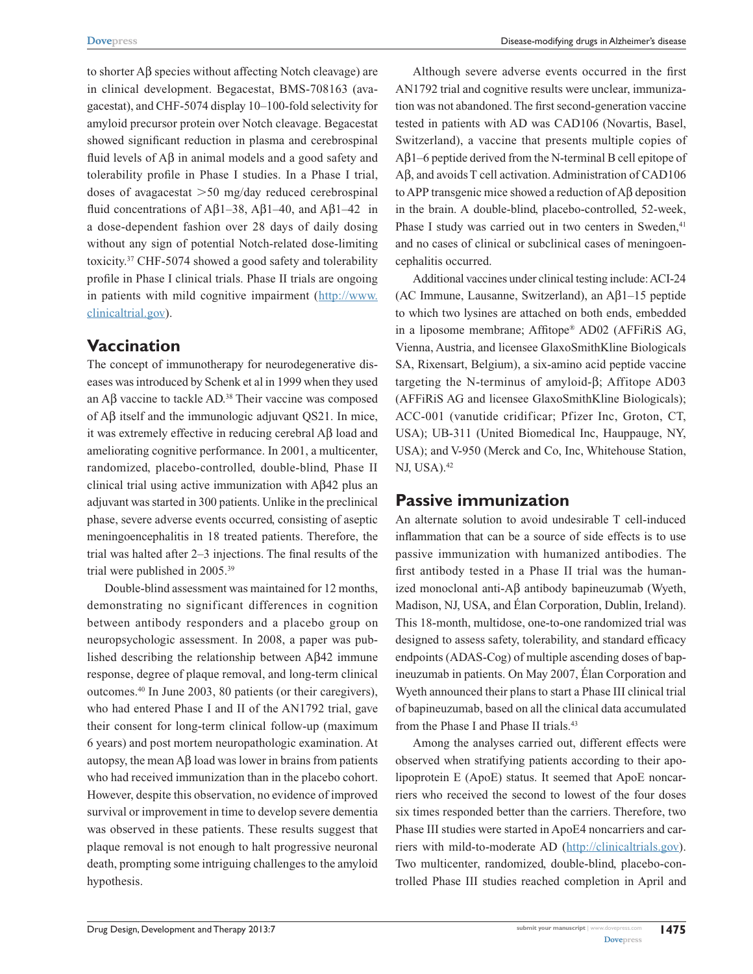to shorter Aβ species without affecting Notch cleavage) are in clinical development. Begacestat, BMS-708163 (avagacestat), and CHF-5074 display 10–100-fold selectivity for amyloid precursor protein over Notch cleavage. Begacestat showed significant reduction in plasma and cerebrospinal fluid levels of Aβ in animal models and a good safety and tolerability profile in Phase I studies. In a Phase I trial, doses of avagacestat  $>50$  mg/day reduced cerebrospinal fluid concentrations of Aβ1–38, Aβ1–40, and Aβ1–42 in a dose-dependent fashion over 28 days of daily dosing without any sign of potential Notch-related dose-limiting toxicity.37 CHF-5074 showed a good safety and tolerability profile in Phase I clinical trials. Phase II trials are ongoing in patients with mild cognitive impairment (http://[www.](http://www.clinicaltrial.gov) [clinicaltrial.gov](http://www.clinicaltrial.gov)).

### **Vaccination**

The concept of immunotherapy for neurodegenerative diseases was introduced by Schenk et al in 1999 when they used an Aβ vaccine to tackle AD.38 Their vaccine was composed of Aβ itself and the immunologic adjuvant QS21. In mice, it was extremely effective in reducing cerebral Aβ load and ameliorating cognitive performance. In 2001, a multicenter, randomized, placebo-controlled, double-blind, Phase II clinical trial using active immunization with Aβ42 plus an adjuvant was started in 300 patients. Unlike in the preclinical phase, severe adverse events occurred, consisting of aseptic meningoencephalitis in 18 treated patients. Therefore, the trial was halted after 2–3 injections. The final results of the trial were published in 2005.39

Double-blind assessment was maintained for 12 months, demonstrating no significant differences in cognition between antibody responders and a placebo group on neuropsychologic assessment. In 2008, a paper was published describing the relationship between Aβ42 immune response, degree of plaque removal, and long-term clinical outcomes.40 In June 2003, 80 patients (or their caregivers), who had entered Phase I and II of the AN1792 trial, gave their consent for long-term clinical follow-up (maximum 6 years) and post mortem neuropathologic examination. At autopsy, the mean  $\overrightarrow{AB}$  load was lower in brains from patients who had received immunization than in the placebo cohort. However, despite this observation, no evidence of improved survival or improvement in time to develop severe dementia was observed in these patients. These results suggest that plaque removal is not enough to halt progressive neuronal death, prompting some intriguing challenges to the amyloid hypothesis.

Although severe adverse events occurred in the first AN1792 trial and cognitive results were unclear, immunization was not abandoned. The first second-generation vaccine tested in patients with AD was CAD106 (Novartis, Basel, Switzerland), a vaccine that presents multiple copies of  $A\beta$ 1–6 peptide derived from the N-terminal B cell epitope of Aβ, and avoids T cell activation. Administration of CAD106 to APP transgenic mice showed a reduction of Aβ deposition in the brain. A double-blind, placebo-controlled, 52-week, Phase I study was carried out in two centers in Sweden,<sup>41</sup> and no cases of clinical or subclinical cases of meningoencephalitis occurred.

Additional vaccines under clinical testing include: ACI-24 (AC Immune, Lausanne, Switzerland), an Aβ1–15 peptide to which two lysines are attached on both ends, embedded in a liposome membrane; Affitope® AD02 (AFFiRiS AG, Vienna, Austria, and licensee GlaxoSmithKline Biologicals SA, Rixensart, Belgium), a six-amino acid peptide vaccine targeting the N-terminus of amyloid-β; Affitope AD03 (AFFiRiS AG and licensee GlaxoSmithKline Biologicals); ACC-001 (vanutide cridificar; Pfizer Inc, Groton, CT, USA); UB-311 (United Biomedical Inc, Hauppauge, NY, USA); and V-950 (Merck and Co, Inc, Whitehouse Station, NJ, USA).<sup>42</sup>

### **Passive immunization**

An alternate solution to avoid undesirable T cell-induced inflammation that can be a source of side effects is to use passive immunization with humanized antibodies. The first antibody tested in a Phase II trial was the humanized monoclonal anti-Aβ antibody bapineuzumab (Wyeth, Madison, NJ, USA, and Élan Corporation, Dublin, Ireland). This 18-month, multidose, one-to-one randomized trial was designed to assess safety, tolerability, and standard efficacy endpoints (ADAS-Cog) of multiple ascending doses of bapineuzumab in patients. On May 2007, Élan Corporation and Wyeth announced their plans to start a Phase III clinical trial of bapineuzumab, based on all the clinical data accumulated from the Phase I and Phase II trials.<sup>43</sup>

Among the analyses carried out, different effects were observed when stratifying patients according to their apolipoprotein E (ApoE) status. It seemed that ApoE noncarriers who received the second to lowest of the four doses six times responded better than the carriers. Therefore, two Phase III studies were started in ApoE4 noncarriers and carriers with mild-to-moderate AD (<http://clinicaltrials.gov>). Two multicenter, randomized, double-blind, placebo-controlled Phase III studies reached completion in April and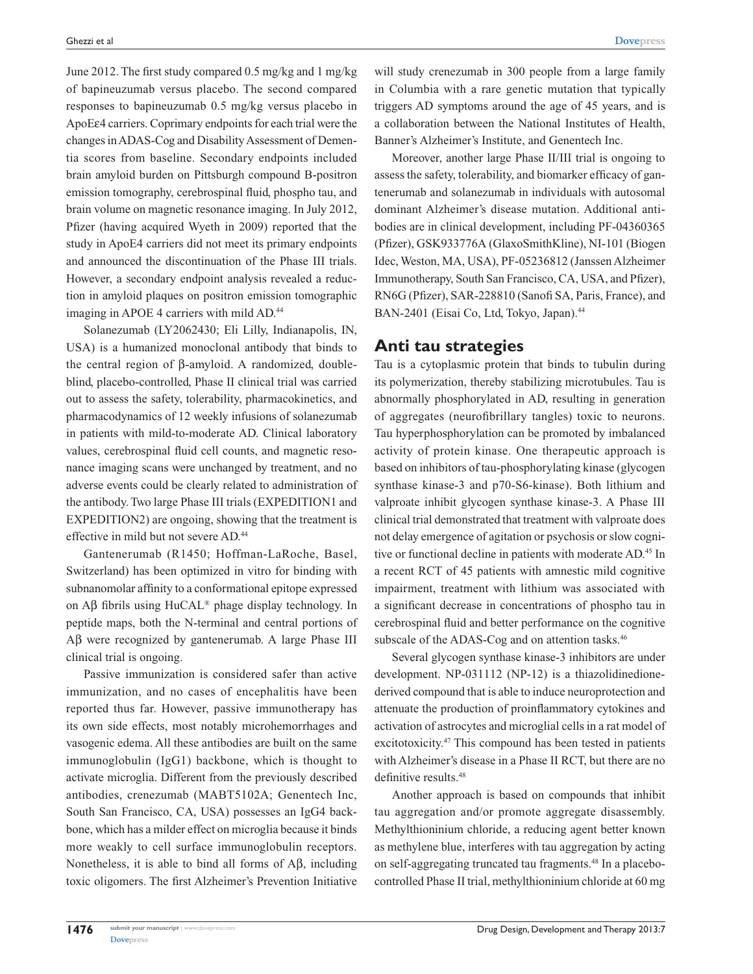June 2012. The first study compared 0.5 mg/kg and 1 mg/kg of bapineuzumab versus placebo. The second compared responses to bapineuzumab 0.5 mg/kg versus placebo in ApoEε4 carriers. Coprimary endpoints for each trial were the changes in ADAS-Cog and Disability Assessment of Dementia scores from baseline. Secondary endpoints included brain amyloid burden on Pittsburgh compound B-positron emission tomography, cerebrospinal fluid, phospho tau, and brain volume on magnetic resonance imaging. In July 2012, Pfizer (having acquired Wyeth in 2009) reported that the study in ApoE4 carriers did not meet its primary endpoints and announced the discontinuation of the Phase III trials. However, a secondary endpoint analysis revealed a reduction in amyloid plaques on positron emission tomographic imaging in APOE 4 carriers with mild AD.<sup>44</sup>

Solanezumab (LY2062430; Eli Lilly, Indianapolis, IN, USA) is a humanized monoclonal antibody that binds to the central region of β-amyloid. A randomized, doubleblind, placebo-controlled, Phase II clinical trial was carried out to assess the safety, tolerability, pharmacokinetics, and pharmacodynamics of 12 weekly infusions of solanezumab in patients with mild-to-moderate AD. Clinical laboratory values, cerebrospinal fluid cell counts, and magnetic resonance imaging scans were unchanged by treatment, and no adverse events could be clearly related to administration of the antibody. Two large Phase III trials (EXPEDITION1 and EXPEDITION2) are ongoing, showing that the treatment is effective in mild but not severe AD.44

Gantenerumab (R1450; Hoffman-LaRoche, Basel, Switzerland) has been optimized in vitro for binding with subnanomolar affinity to a conformational epitope expressed on Aβ fibrils using HuCAL® phage display technology. In peptide maps, both the N-terminal and central portions of Aβ were recognized by gantenerumab. A large Phase III clinical trial is ongoing.

Passive immunization is considered safer than active immunization, and no cases of encephalitis have been reported thus far. However, passive immunotherapy has its own side effects, most notably microhemorrhages and vasogenic edema. All these antibodies are built on the same immunoglobulin (IgG1) backbone, which is thought to activate microglia. Different from the previously described antibodies, crenezumab (MABT5102A; Genentech Inc, South San Francisco, CA, USA) possesses an IgG4 backbone, which has a milder effect on microglia because it binds more weakly to cell surface immunoglobulin receptors. Nonetheless, it is able to bind all forms of Aβ, including toxic oligomers. The first Alzheimer's Prevention Initiative

will study crenezumab in 300 people from a large family in Columbia with a rare genetic mutation that typically triggers AD symptoms around the age of 45 years, and is a collaboration between the National Institutes of Health, Banner's Alzheimer's Institute, and Genentech Inc.

Moreover, another large Phase II/III trial is ongoing to assess the safety, tolerability, and biomarker efficacy of gantenerumab and solanezumab in individuals with autosomal dominant Alzheimer's disease mutation. Additional antibodies are in clinical development, including PF-04360365 (Pfizer), GSK933776A (GlaxoSmithKline), NI-101 (Biogen Idec, Weston, MA, USA), PF-05236812 (Janssen Alzheimer Immunotherapy, South San Francisco, CA, USA, and Pfizer), RN6G (Pfizer), SAR-228810 (Sanofi SA, Paris, France), and BAN-2401 (Eisai Co, Ltd, Tokyo, Japan).<sup>44</sup>

#### **Anti tau strategies**

Tau is a cytoplasmic protein that binds to tubulin during its polymerization, thereby stabilizing microtubules. Tau is abnormally phosphorylated in AD, resulting in generation of aggregates (neurofibrillary tangles) toxic to neurons. Tau hyperphosphorylation can be promoted by imbalanced activity of protein kinase. One therapeutic approach is based on inhibitors of tau-phosphorylating kinase (glycogen synthase kinase-3 and p70-S6-kinase). Both lithium and valproate inhibit glycogen synthase kinase-3. A Phase III clinical trial demonstrated that treatment with valproate does not delay emergence of agitation or psychosis or slow cognitive or functional decline in patients with moderate AD.<sup>45</sup> In a recent RCT of 45 patients with amnestic mild cognitive impairment, treatment with lithium was associated with a significant decrease in concentrations of phospho tau in cerebrospinal fluid and better performance on the cognitive subscale of the ADAS-Cog and on attention tasks.<sup>46</sup>

Several glycogen synthase kinase-3 inhibitors are under development. NP-031112 (NP-12) is a thiazolidinedionederived compound that is able to induce neuroprotection and attenuate the production of proinflammatory cytokines and activation of astrocytes and microglial cells in a rat model of excitotoxicity.47 This compound has been tested in patients with Alzheimer's disease in a Phase II RCT, but there are no definitive results.<sup>48</sup>

Another approach is based on compounds that inhibit tau aggregation and/or promote aggregate disassembly. Methylthioninium chloride, a reducing agent better known as methylene blue, interferes with tau aggregation by acting on self-aggregating truncated tau fragments.48 In a placebocontrolled Phase II trial, methylthioninium chloride at 60 mg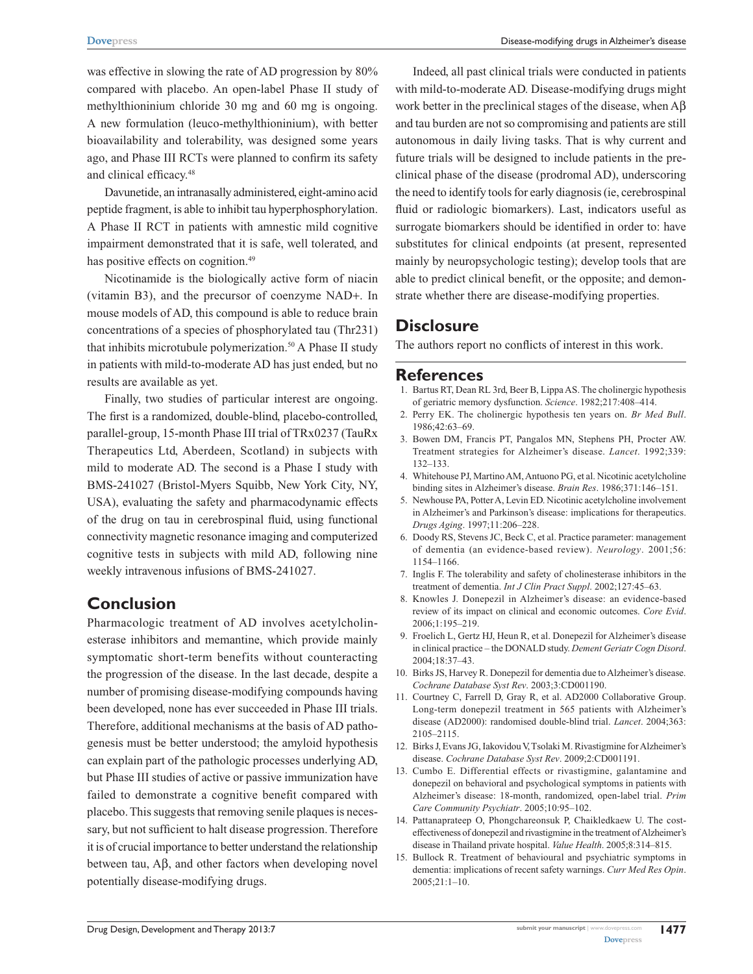was effective in slowing the rate of AD progression by 80% compared with placebo. An open-label Phase II study of methylthioninium chloride 30 mg and 60 mg is ongoing. A new formulation (leuco-methylthioninium), with better bioavailability and tolerability, was designed some years ago, and Phase III RCTs were planned to confirm its safety and clinical efficacy.48

Davunetide, an intranasally administered, eight-amino acid peptide fragment, is able to inhibit tau hyperphosphorylation. A Phase II RCT in patients with amnestic mild cognitive impairment demonstrated that it is safe, well tolerated, and has positive effects on cognition.<sup>49</sup>

Nicotinamide is the biologically active form of niacin (vitamin B3), and the precursor of coenzyme NAD+. In mouse models of AD, this compound is able to reduce brain concentrations of a species of phosphorylated tau (Thr231) that inhibits microtubule polymerization.<sup>50</sup> A Phase II study in patients with mild-to-moderate AD has just ended, but no results are available as yet.

Finally, two studies of particular interest are ongoing. The first is a randomized, double-blind, placebo-controlled, parallel-group, 15-month Phase III trial of TRx0237 (TauRx Therapeutics Ltd, Aberdeen, Scotland) in subjects with mild to moderate AD. The second is a Phase I study with BMS-241027 (Bristol-Myers Squibb, New York City, NY, USA), evaluating the safety and pharmacodynamic effects of the drug on tau in cerebrospinal fluid, using functional connectivity magnetic resonance imaging and computerized cognitive tests in subjects with mild AD, following nine weekly intravenous infusions of BMS-241027.

### **Conclusion**

Pharmacologic treatment of AD involves acetylcholinesterase inhibitors and memantine, which provide mainly symptomatic short-term benefits without counteracting the progression of the disease. In the last decade, despite a number of promising disease-modifying compounds having been developed, none has ever succeeded in Phase III trials. Therefore, additional mechanisms at the basis of AD pathogenesis must be better understood; the amyloid hypothesis can explain part of the pathologic processes underlying AD, but Phase III studies of active or passive immunization have failed to demonstrate a cognitive benefit compared with placebo. This suggests that removing senile plaques is necessary, but not sufficient to halt disease progression. Therefore it is of crucial importance to better understand the relationship between tau, Aβ, and other factors when developing novel potentially disease-modifying drugs.

Indeed, all past clinical trials were conducted in patients with mild-to-moderate AD. Disease-modifying drugs might work better in the preclinical stages of the disease, when Aβ and tau burden are not so compromising and patients are still autonomous in daily living tasks. That is why current and future trials will be designed to include patients in the preclinical phase of the disease (prodromal AD), underscoring the need to identify tools for early diagnosis (ie, cerebrospinal fluid or radiologic biomarkers). Last, indicators useful as surrogate biomarkers should be identified in order to: have substitutes for clinical endpoints (at present, represented mainly by neuropsychologic testing); develop tools that are able to predict clinical benefit, or the opposite; and demonstrate whether there are disease-modifying properties.

#### **Disclosure**

The authors report no conflicts of interest in this work.

#### **References**

- 1. Bartus RT, Dean RL 3rd, Beer B, Lippa AS. The cholinergic hypothesis of geriatric memory dysfunction. *Science*. 1982;217:408–414.
- 2. Perry EK. The cholinergic hypothesis ten years on. *Br Med Bull*. 1986;42:63–69.
- 3. Bowen DM, Francis PT, Pangalos MN, Stephens PH, Procter AW. Treatment strategies for Alzheimer's disease. *Lancet*. 1992;339: 132–133.
- 4. Whitehouse PJ, Martino AM, Antuono PG, et al. Nicotinic acetylcholine binding sites in Alzheimer's disease. *Brain Res*. 1986;371:146–151.
- 5. Newhouse PA, Potter A, Levin ED. Nicotinic acetylcholine involvement in Alzheimer's and Parkinson's disease: implications for therapeutics. *Drugs Aging*. 1997;11:206–228.
- 6. Doody RS, Stevens JC, Beck C, et al. Practice parameter: management of dementia (an evidence-based review). *Neurology*. 2001;56: 1154–1166.
- 7. Inglis F. The tolerability and safety of cholinesterase inhibitors in the treatment of dementia. *Int J Clin Pract Suppl*. 2002;127:45–63.
- 8. Knowles J. Donepezil in Alzheimer's disease: an evidence-based review of its impact on clinical and economic outcomes. *Core Evid*. 2006;1:195–219.
- 9. Froelich L, Gertz HJ, Heun R, et al. Donepezil for Alzheimer's disease in clinical practice – the DONALD study. *Dement Geriatr Cogn Disord*. 2004;18:37–43.
- 10. Birks JS, Harvey R. Donepezil for dementia due to Alzheimer's disease. *Cochrane Database Syst Rev*. 2003;3:CD001190.
- 11. Courtney C, Farrell D, Gray R, et al. AD2000 Collaborative Group. Long-term donepezil treatment in 565 patients with Alzheimer's disease (AD2000): randomised double-blind trial. *Lancet*. 2004;363: 2105–2115.
- 12. Birks J, Evans JG, Iakovidou V, Tsolaki M. Rivastigmine for Alzheimer's disease. *Cochrane Database Syst Rev*. 2009;2:CD001191.
- 13. Cumbo E. Differential effects or rivastigmine, galantamine and donepezil on behavioral and psychological symptoms in patients with Alzheimer's disease: 18-month, randomized, open-label trial. *Prim Care Community Psychiatr*. 2005;10:95–102.
- 14. Pattanaprateep O, Phongchareonsuk P, Chaikledkaew U. The costeffectiveness of donepezil and rivastigmine in the treatment of Alzheimer's disease in Thailand private hospital. *Value Health*. 2005;8:314–815.
- 15. Bullock R. Treatment of behavioural and psychiatric symptoms in dementia: implications of recent safety warnings. *Curr Med Res Opin*. 2005;21:1–10.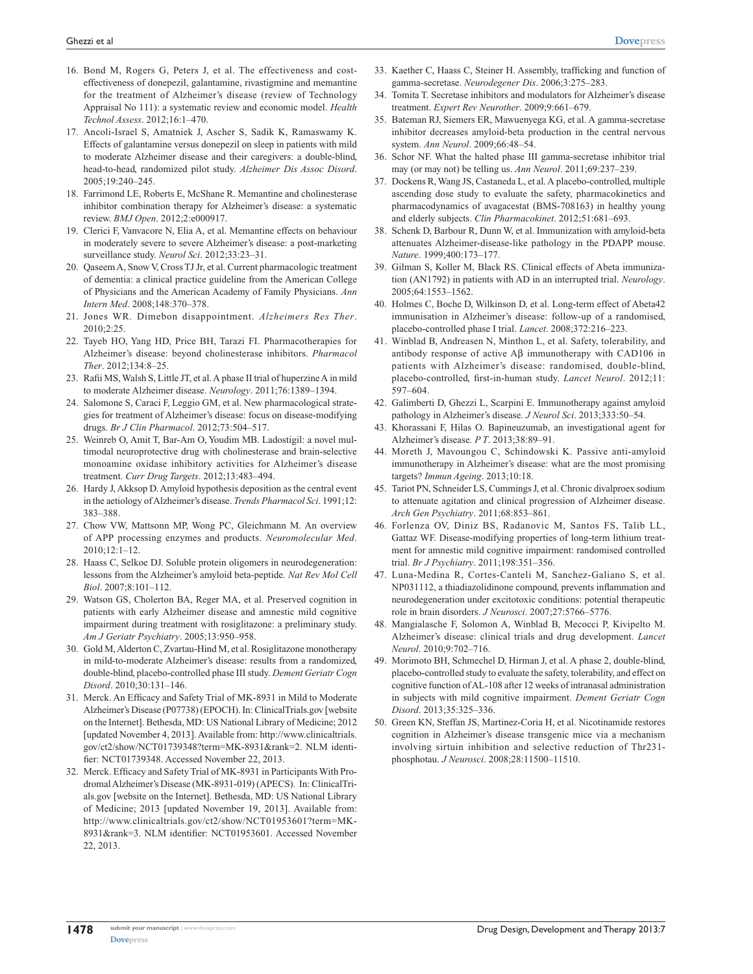- 16. Bond M, Rogers G, Peters J, et al. The effectiveness and costeffectiveness of donepezil, galantamine, rivastigmine and memantine for the treatment of Alzheimer's disease (review of Technology Appraisal No 111): a systematic review and economic model. *Health Technol Assess*. 2012;16:1–470.
- 17. Ancoli-Israel S, Amatniek J, Ascher S, Sadik K, Ramaswamy K. Effects of galantamine versus donepezil on sleep in patients with mild to moderate Alzheimer disease and their caregivers: a double-blind, head-to-head, randomized pilot study. *Alzheimer Dis Assoc Disord*. 2005;19:240–245.
- 18. Farrimond LE, Roberts E, McShane R. Memantine and cholinesterase inhibitor combination therapy for Alzheimer's disease: a systematic review. *BMJ Open*. 2012;2:e000917.
- 19. Clerici F, Vanvacore N, Elia A, et al. Memantine effects on behaviour in moderately severe to severe Alzheimer's disease: a post-marketing surveillance study. *Neurol Sci*. 2012;33:23–31.
- 20. Qaseem A, Snow V, Cross TJ Jr, et al. Current pharmacologic treatment of dementia: a clinical practice guideline from the American College of Physicians and the American Academy of Family Physicians. *Ann Intern Med*. 2008;148:370–378.
- 21. Jones WR. Dimebon disappointment. *Alzheimers Res Ther*.  $2010:2:25$
- 22. Tayeb HO, Yang HD, Price BH, Tarazi FI. Pharmacotherapies for Alzheimer's disease: beyond cholinesterase inhibitors. *Pharmacol Ther*. 2012;134:8–25.
- 23. Rafii MS, Walsh S, Little JT, et al. A phase II trial of huperzine A in mild to moderate Alzheimer disease. *Neurology*. 2011;76:1389–1394.
- 24. Salomone S, Caraci F, Leggio GM, et al. New pharmacological strategies for treatment of Alzheimer's disease: focus on disease-modifying drugs. *Br J Clin Pharmacol*. 2012;73:504–517.
- 25. Weinreb O, Amit T, Bar-Am O, Youdim MB. Ladostigil: a novel multimodal neuroprotective drug with cholinesterase and brain-selective monoamine oxidase inhibitory activities for Alzheimer's disease treatment. *Curr Drug Targets*. 2012;13:483–494.
- 26. Hardy J, Akksop D. Amyloid hypothesis deposition as the central event in the aetiology of Alzheimer's disease. *Trends Pharmacol Sci*. 1991;12: 383–388.
- 27. Chow VW, Mattsonn MP, Wong PC, Gleichmann M. An overview of APP processing enzymes and products. *Neuromolecular Med*. 2010;12:1–12.
- 28. Haass C, Selkoe DJ. Soluble protein oligomers in neurodegeneration: lessons from the Alzheimer's amyloid beta-peptide. *Nat Rev Mol Cell Biol*. 2007;8:101–112.
- 29. Watson GS, Cholerton BA, Reger MA, et al. Preserved cognition in patients with early Alzheimer disease and amnestic mild cognitive impairment during treatment with rosiglitazone: a preliminary study. *Am J Geriatr Psychiatry*. 2005;13:950–958.
- 30. Gold M, Alderton C, Zvartau-Hind M, et al. Rosiglitazone monotherapy in mild-to-moderate Alzheimer's disease: results from a randomized, double-blind, placebo-controlled phase III study. *Dement Geriatr Cogn Disord*. 2010;30:131–146.
- 31. Merck. An Efficacy and Safety Trial of MK-8931 in Mild to Moderate Alzheimer's Disease (P07738) (EPOCH). In: ClinicalTrials.gov [website on the Internet]. Bethesda, MD: US National Library of Medicine; 2012 [updated November 4, 2013]. Available from: [http://www.clinicaltrials.](http://www.clinicaltrials.gov/ct2/show/NCT01739348?term=MK-8931&rank=2) [gov/ct2/show/NCT01739348?term=MK-8931&rank=2. NLM identi](http://www.clinicaltrials.gov/ct2/show/NCT01739348?term=MK-8931&rank=2)[fier: NCT01739348.](http://www.clinicaltrials.gov/ct2/show/NCT01739348?term=MK-8931&rank=2) Accessed November 22, 2013.
- 32. Merck. Efficacy and Safety Trial of MK-8931 in Participants With Prodromal Alzheimer's Disease (MK-8931-019) (APECS). In: ClinicalTrials.gov [website on the Internet]. Bethesda, MD: US National Library of Medicine; 2013 [updated November 19, 2013]. Available from: [http://www.clinicaltrials.gov/ct2/show/NCT01953601?term=MK-](http://www.clinicaltrials.gov/ct2/show/NCT01953601?term=MK-8931&rank=3)[8931&rank=3. NLM identifier: NCT01953601.](http://www.clinicaltrials.gov/ct2/show/NCT01953601?term=MK-8931&rank=3) Accessed November 22, 2013.
- 33. Kaether C, Haass C, Steiner H. Assembly, trafficking and function of gamma-secretase. *Neurodegener Dis*. 2006;3:275–283.
- 34. Tomita T. Secretase inhibitors and modulators for Alzheimer's disease treatment. *Expert Rev Neurother*. 2009;9:661–679.
- 35. Bateman RJ, Siemers ER, Mawuenyega KG, et al. A gamma-secretase inhibitor decreases amyloid-beta production in the central nervous system. *Ann Neurol*. 2009;66:48–54.
- 36. Schor NF. What the halted phase III gamma-secretase inhibitor trial may (or may not) be telling us. *Ann Neurol*. 2011;69:237–239.
- 37. Dockens R, Wang JS, Castaneda L, et al. A placebo-controlled, multiple ascending dose study to evaluate the safety, pharmacokinetics and pharmacodynamics of avagacestat (BMS-708163) in healthy young and elderly subjects. *Clin Pharmacokinet*. 2012;51:681–693.
- 38. Schenk D, Barbour R, Dunn W, et al. Immunization with amyloid-beta attenuates Alzheimer-disease-like pathology in the PDAPP mouse. *Nature*. 1999;400:173–177.
- 39. Gilman S, Koller M, Black RS. Clinical effects of Abeta immunization (AN1792) in patients with AD in an interrupted trial. *Neurology*. 2005;64:1553–1562.
- 40. Holmes C, Boche D, Wilkinson D, et al. Long-term effect of Abeta42 immunisation in Alzheimer's disease: follow-up of a randomised, placebo-controlled phase I trial. *Lancet*. 2008;372:216–223.
- 41. Winblad B, Andreasen N, Minthon L, et al. Safety, tolerability, and antibody response of active Aβ immunotherapy with CAD106 in patients with Alzheimer's disease: randomised, double-blind, placebo-controlled, first-in-human study. *Lancet Neurol*. 2012;11: 597–604.
- 42. Galimberti D, Ghezzi L, Scarpini E. Immunotherapy against amyloid pathology in Alzheimer's disease. *J Neurol Sci*. 2013;333:50–54.
- 43. Khorassani F, Hilas O. Bapineuzumab, an investigational agent for Alzheimer's disease. *P T*. 2013;38:89–91.
- 44. Moreth J, Mavoungou C, Schindowski K. Passive anti-amyloid immunotherapy in Alzheimer's disease: what are the most promising targets? *Immun Ageing*. 2013;10:18.
- 45. Tariot PN, Schneider LS, Cummings J, et al. Chronic divalproex sodium to attenuate agitation and clinical progression of Alzheimer disease. *Arch Gen Psychiatry*. 2011;68:853–861.
- 46. Forlenza OV, Diniz BS, Radanovic M, Santos FS, Talib LL, Gattaz WF. Disease-modifying properties of long-term lithium treatment for amnestic mild cognitive impairment: randomised controlled trial. *Br J Psychiatry*. 2011;198:351–356.
- 47. Luna-Medina R, Cortes-Canteli M, Sanchez-Galiano S, et al. NP031112, a thiadiazolidinone compound, prevents inflammation and neurodegeneration under excitotoxic conditions: potential therapeutic role in brain disorders. *J Neurosci*. 2007;27:5766–5776.
- 48. Mangialasche F, Solomon A, Winblad B, Mecocci P, Kivipelto M. Alzheimer's disease: clinical trials and drug development. *Lancet Neurol*. 2010;9:702–716.
- 49. Morimoto BH, Schmechel D, Hirman J, et al. A phase 2, double-blind, placebo-controlled study to evaluate the safety, tolerability, and effect on cognitive function of AL-108 after 12 weeks of intranasal administration in subjects with mild cognitive impairment. *Dement Geriatr Cogn Disord*. 2013;35:325–336.
- 50. Green KN, Steffan JS, Martinez-Coria H, et al. Nicotinamide restores cognition in Alzheimer's disease transgenic mice via a mechanism involving sirtuin inhibition and selective reduction of Thr231 phosphotau. *J Neurosci*. 2008;28:11500–11510.